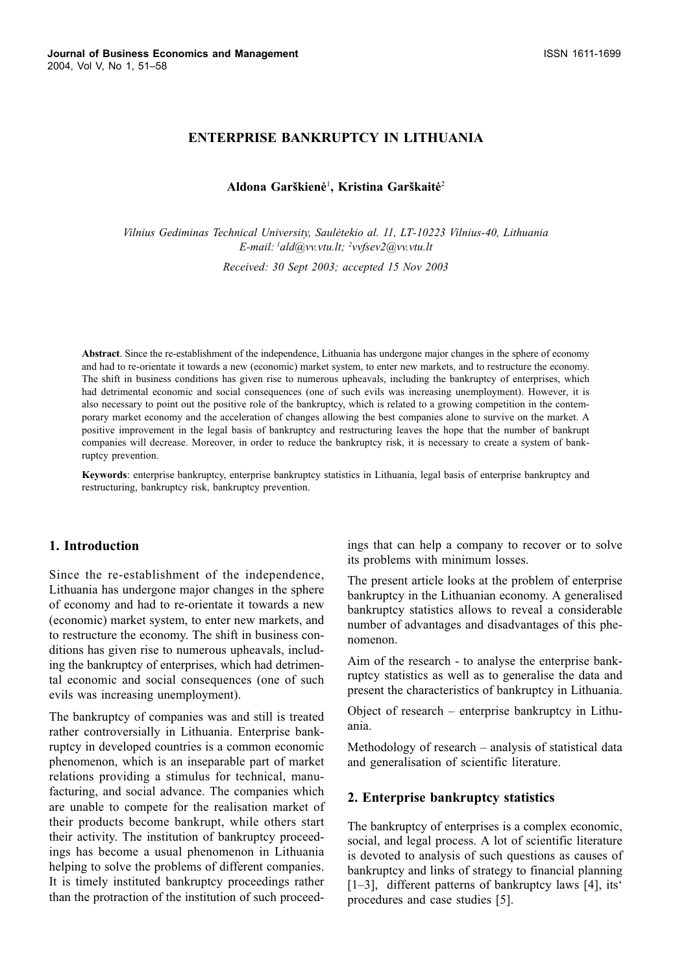## **ENTERPRISE BANKRUPTCY IN LITHUANIA**

### Aldona Garškienė<sup>1</sup>, Kristina Garškaitė<sup>2</sup>

Vilnius Gediminas Technical University, Saulėtekio al. 11, LT-10223 Vilnius-40, Lithuania E-mail:  $\ell$ ald@vv.vtu.lt;  $\ell$ vvfsev2@vv.vtu.lt

Received: 30 Sept 2003; accepted 15 Nov 2003

Abstract. Since the re-establishment of the independence, Lithuania has undergone major changes in the sphere of economy and had to re-orientate it towards a new (economic) market system, to enter new markets, and to restructure the economy. The shift in business conditions has given rise to numerous upheavals, including the bankruptcy of enterprises, which had detrimental economic and social consequences (one of such evils was increasing unemployment). However, it is also necessary to point out the positive role of the bankruptcy, which is related to a growing competition in the contemporary market economy and the acceleration of changes allowing the best companies alone to survive on the market. A positive improvement in the legal basis of bankruptcy and restructuring leaves the hope that the number of bankrupt companies will decrease. Moreover, in order to reduce the bankruptcy risk, it is necessary to create a system of bankruptcy prevention.

Keywords: enterprise bankruptcy, enterprise bankruptcy statistics in Lithuania, legal basis of enterprise bankruptcy and restructuring, bankruptcy risk, bankruptcy prevention.

### 1. Introduction

Since the re-establishment of the independence, Lithuania has undergone major changes in the sphere of economy and had to re-orientate it towards a new (economic) market system, to enter new markets, and to restructure the economy. The shift in business conditions has given rise to numerous upheavals, including the bankruptcy of enterprises, which had detrimental economic and social consequences (one of such evils was increasing unemployment).

The bankruptcy of companies was and still is treated rather controversially in Lithuania. Enterprise bankruptcy in developed countries is a common economic phenomenon, which is an inseparable part of market relations providing a stimulus for technical, manufacturing, and social advance. The companies which are unable to compete for the realisation market of their products become bankrupt, while others start their activity. The institution of bankruptcy proceedings has become a usual phenomenon in Lithuania helping to solve the problems of different companies. It is timely instituted bankruptcy proceedings rather than the protraction of the institution of such proceedings that can help a company to recover or to solve its problems with minimum losses.

The present article looks at the problem of enterprise bankruptcy in the Lithuanian economy. A generalised bankruptcy statistics allows to reveal a considerable number of advantages and disadvantages of this phenomenon.

Aim of the research - to analyse the enterprise bankruptcy statistics as well as to generalise the data and present the characteristics of bankruptcy in Lithuania.

Object of research – enterprise bankruptcy in Lithuania.

Methodology of research – analysis of statistical data and generalisation of scientific literature.

#### 2. Enterprise bankruptcy statistics

The bankruptcy of enterprises is a complex economic, social, and legal process. A lot of scientific literature is devoted to analysis of such questions as causes of bankruptcy and links of strategy to financial planning [1-3], different patterns of bankruptcy laws [4], its' procedures and case studies [5].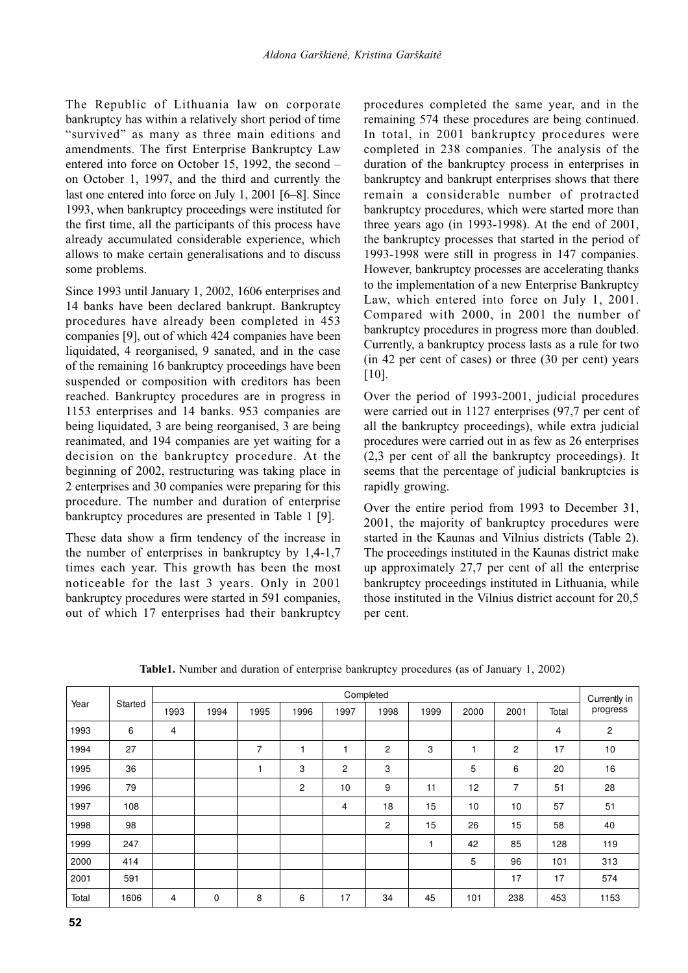The Republic of Lithuania law on corporate bankruptcy has within a relatively short period of time "survived" as many as three main editions and amendments. The first Enterprise Bankruptcy Law entered into force on October 15, 1992, the second – on October 1, 1997, and the third and currently the last one entered into force on July 1, 2001 [6-8]. Since 1993, when bankruptcy proceedings were instituted for the first time, all the participants of this process have already accumulated considerable experience, which allows to make certain generalisations and to discuss some problems.

Since 1993 until January 1, 2002, 1606 enterprises and 14 banks have been declared bankrupt. Bankruptcy procedures have already been completed in 453 companies [9], out of which 424 companies have been liquidated, 4 reorganised, 9 sanated, and in the case of the remaining 16 bankruptcy proceedings have been suspended or composition with creditors has been reached. Bankruptcy procedures are in progress in 1153 enterprises and 14 banks. 953 companies are being liquidated, 3 are being reorganised, 3 are being reanimated, and 194 companies are yet waiting for a decision on the bankruptcy procedure. At the beginning of 2002, restructuring was taking place in 2 enterprises and 30 companies were preparing for this procedure. The number and duration of enterprise bankruptcy procedures are presented in Table 1 [9].

These data show a firm tendency of the increase in the number of enterprises in bankruptcy by  $1,4-1,7$ times each year. This growth has been the most noticeable for the last 3 years. Only in 2001 bankruptcy procedures were started in 591 companies, out of which 17 enterprises had their bankruptcy procedures completed the same year, and in the remaining 574 these procedures are being continued. In total, in 2001 bankruptcy procedures were completed in 238 companies. The analysis of the duration of the bankruptcy process in enterprises in bankruptcy and bankrupt enterprises shows that there remain a considerable number of protracted bankruptcy procedures, which were started more than three years ago (in 1993-1998). At the end of  $2001$ , the bankruptcy processes that started in the period of 1993-1998 were still in progress in 147 companies. However, bankruptcy processes are accelerating thanks to the implementation of a new Enterprise Bankruptcy Law, which entered into force on July 1, 2001. Compared with 2000, in 2001 the number of bankruptcy procedures in progress more than doubled. Currently, a bankruptcy process lasts as a rule for two (in 42 per cent of cases) or three (30 per cent) years  $[10]$ .

Over the period of 1993-2001, judicial procedures were carried out in 1127 enterprises (97,7 per cent of all the bankruptcy proceedings), while extra judicial procedures were carried out in as few as 26 enterprises  $(2,3)$  per cent of all the bankruptcy proceedings). It seems that the percentage of judicial bankruptcies is rapidly growing.

Over the entire period from 1993 to December 31, 2001, the majority of bankruptcy procedures were started in the Kaunas and Vilnius districts (Table 2). The proceedings instituted in the Kaunas district make up approximately 27,7 per cent of all the enterprise bankruptcy proceedings instituted in Lithuania, while those instituted in the Vilnius district account for 20,5 per cent.

|       |         | Completed |             |                |                |                |                |      |      |                | Currently in |                |
|-------|---------|-----------|-------------|----------------|----------------|----------------|----------------|------|------|----------------|--------------|----------------|
| Year  | Started | 1993      | 1994        | 1995           | 1996           | 1997           | 1998           | 1999 | 2000 | 2001           | Total        | progress       |
| 1993  | 6       | 4         |             |                |                |                |                |      |      |                | 4            | $\overline{c}$ |
| 1994  | 27      |           |             | $\overline{7}$ | 1              |                | 2              | 3    |      | $\overline{c}$ | 17           | 10             |
| 1995  | 36      |           |             | 1              | 3              | $\overline{c}$ | 3              |      | 5    | 6              | 20           | 16             |
| 1996  | 79      |           |             |                | $\overline{c}$ | 10             | 9              | 11   | 12   | 7              | 51           | 28             |
| 1997  | 108     |           |             |                |                | 4              | 18             | 15   | 10   | 10             | 57           | 51             |
| 1998  | 98      |           |             |                |                |                | $\overline{c}$ | 15   | 26   | 15             | 58           | 40             |
| 1999  | 247     |           |             |                |                |                |                | 1    | 42   | 85             | 128          | 119            |
| 2000  | 414     |           |             |                |                |                |                |      | 5    | 96             | 101          | 313            |
| 2001  | 591     |           |             |                |                |                |                |      |      | 17             | 17           | 574            |
| Total | 1606    | 4         | $\mathbf 0$ | 8              | 6              | 17             | 34             | 45   | 101  | 238            | 453          | 1153           |

Table1. Number and duration of enterprise bankruptcy procedures (as of January 1, 2002)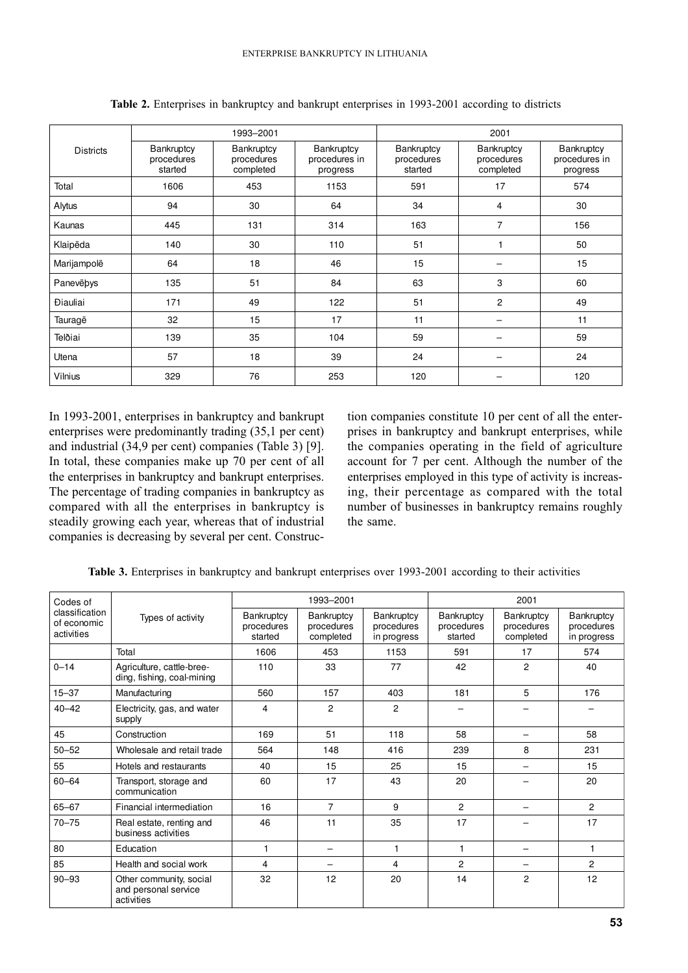|                               |                                     | 1993-2001                             |                                         | 2001                                |                                       |                                         |  |
|-------------------------------|-------------------------------------|---------------------------------------|-----------------------------------------|-------------------------------------|---------------------------------------|-----------------------------------------|--|
| <b>Districts</b>              | Bankruptcy<br>procedures<br>started | Bankruptcy<br>procedures<br>completed | Bankruptcy<br>procedures in<br>progress | Bankruptcy<br>procedures<br>started | Bankruptcy<br>procedures<br>completed | Bankruptcy<br>procedures in<br>progress |  |
| Total                         | 1606                                | 453                                   | 1153                                    | 591                                 | 17                                    | 574                                     |  |
| Alytus                        | 94                                  | 30                                    | 64                                      | 34                                  | 4                                     | 30                                      |  |
| Kaunas                        | 445                                 | 131                                   | 314                                     | 163                                 | 7                                     | 156                                     |  |
| Klaipëda                      | 140                                 | 30                                    | 110                                     | 51                                  |                                       | 50                                      |  |
| Marijampolë                   | 64                                  | 18                                    | 46                                      | 15                                  |                                       | 15                                      |  |
| Panevëbys                     | 135                                 | 51                                    | 84                                      | 63                                  | 3                                     | 60                                      |  |
| <b><i><u>Diauliai</u></i></b> | 171                                 | 49                                    | 122                                     | 51                                  | $\overline{2}$                        | 49                                      |  |
| Tauragë                       | 32                                  | 15                                    | 17                                      | 11                                  |                                       | 11                                      |  |
| Telðiai                       | 139                                 | 35                                    | 104                                     | 59                                  |                                       | 59                                      |  |
| Utena                         | 57                                  | 18                                    | 39                                      | 24                                  |                                       | 24                                      |  |
| Vilnius                       | 329                                 | 76                                    | 253                                     | 120                                 |                                       | 120                                     |  |

Table 2. Enterprises in bankruptcy and bankrupt enterprises in 1993-2001 according to districts

In 1993-2001, enterprises in bankruptcy and bankrupt enterprises were predominantly trading (35,1 per cent) and industrial (34,9 per cent) companies (Table 3) [9]. In total, these companies make up 70 per cent of all the enterprises in bankruptcy and bankrupt enterprises. The percentage of trading companies in bankruptcy as compared with all the enterprises in bankruptcy is steadily growing each year, whereas that of industrial companies is decreasing by several per cent. Construction companies constitute 10 per cent of all the enterprises in bankruptcy and bankrupt enterprises, while the companies operating in the field of agriculture account for 7 per cent. Although the number of the enterprises employed in this type of activity is increasing, their percentage as compared with the total number of businesses in bankruptcy remains roughly the same.

Table 3. Enterprises in bankruptcy and bankrupt enterprises over 1993-2001 according to their activities

| Codes of                                    |                                                               |                                     | 1993-2001                             |                                         | 2001                                |                                       |                                         |  |
|---------------------------------------------|---------------------------------------------------------------|-------------------------------------|---------------------------------------|-----------------------------------------|-------------------------------------|---------------------------------------|-----------------------------------------|--|
| classification<br>of economic<br>activities | Types of activity                                             | Bankruptcy<br>procedures<br>started | Bankruptcy<br>procedures<br>completed | Bankruptcy<br>procedures<br>in progress | Bankruptcy<br>procedures<br>started | Bankruptcy<br>procedures<br>completed | Bankruptcy<br>procedures<br>in progress |  |
|                                             | Total                                                         | 1606                                | 453                                   | 1153                                    | 591                                 | 17                                    | 574                                     |  |
| $0 - 14$                                    | Agriculture, cattle-bree-<br>ding, fishing, coal-mining       | 110                                 | 33                                    | 77                                      | 42                                  | 2                                     | 40                                      |  |
| $15 - 37$                                   | Manufacturing                                                 | 560                                 | 157                                   | 403                                     | 181                                 | 5                                     | 176                                     |  |
| $40 - 42$                                   | Electricity, gas, and water<br>supply                         | 4                                   | $\overline{c}$                        | $\overline{c}$                          |                                     |                                       |                                         |  |
| 45                                          | Construction                                                  | 169                                 | 51                                    | 118                                     | 58                                  |                                       | 58                                      |  |
| $50 - 52$                                   | Wholesale and retail trade                                    | 564                                 | 148                                   | 416                                     | 239                                 | 8                                     | 231                                     |  |
| 55                                          | Hotels and restaurants                                        | 40                                  | 15                                    | 25                                      | 15                                  |                                       | 15                                      |  |
| $60 - 64$                                   | Transport, storage and<br>communication                       | 60                                  | 17                                    | 43                                      | 20                                  |                                       | 20                                      |  |
| 65-67                                       | Financial intermediation                                      | 16                                  | $\overline{7}$                        | 9                                       | $\overline{2}$                      |                                       | $\overline{c}$                          |  |
| $70 - 75$                                   | Real estate, renting and<br>business activities               | 46                                  | 11                                    | 35                                      | 17                                  |                                       | 17                                      |  |
| 80                                          | Education                                                     | $\mathbf{1}$                        | $\overline{\phantom{0}}$              | 1                                       | 1                                   |                                       | 1                                       |  |
| 85                                          | Health and social work                                        | 4                                   | $\qquad \qquad -$                     | 4                                       | 2                                   |                                       | 2                                       |  |
| $90 - 93$                                   | Other community, social<br>and personal service<br>activities | 32                                  | 12                                    | 20                                      | 14                                  | $\overline{c}$                        | 12                                      |  |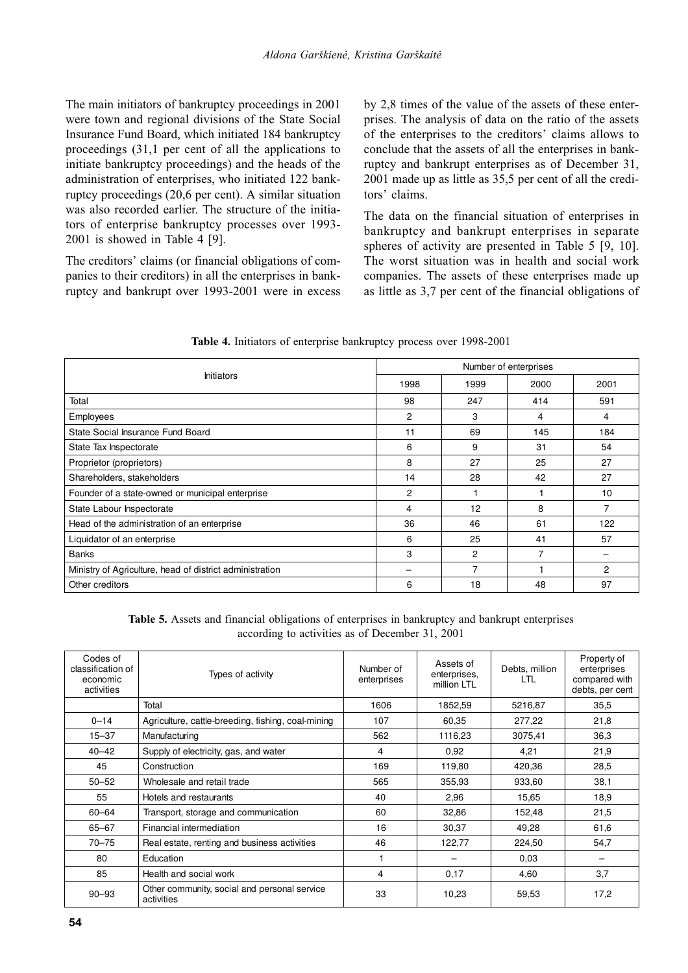The main initiators of bankruptcy proceedings in 2001 were town and regional divisions of the State Social Insurance Fund Board, which initiated 184 bankruptcy proceedings (31,1 per cent of all the applications to initiate bankruptcy proceedings) and the heads of the administration of enterprises, who initiated 122 bankruptcy proceedings (20.6 per cent). A similar situation was also recorded earlier. The structure of the initiators of enterprise bankruptcy processes over 1993-2001 is showed in Table 4 [9].

The creditors' claims (or financial obligations of companies to their creditors) in all the enterprises in bankruptcy and bankrupt over 1993-2001 were in excess by 2,8 times of the value of the assets of these enterprises. The analysis of data on the ratio of the assets of the enterprises to the creditors' claims allows to conclude that the assets of all the enterprises in bankruptcy and bankrupt enterprises as of December 31, 2001 made up as little as 35,5 per cent of all the creditors' claims.

The data on the financial situation of enterprises in bankruptcy and bankrupt enterprises in separate spheres of activity are presented in Table 5 [9, 10]. The worst situation was in health and social work companies. The assets of these enterprises made up as little as 3,7 per cent of the financial obligations of

|                                                          | Number of enterprises |                |      |      |  |
|----------------------------------------------------------|-----------------------|----------------|------|------|--|
| <b>Initiators</b>                                        | 1998                  | 1999           | 2000 | 2001 |  |
| Total                                                    | 98                    | 247            | 414  | 591  |  |
| Employees                                                | 2                     | 3              | 4    | 4    |  |
| State Social Insurance Fund Board                        | 11                    | 69             | 145  | 184  |  |
| State Tax Inspectorate                                   | 6                     | 9              | 31   | 54   |  |
| Proprietor (proprietors)                                 | 8                     | 27             | 25   | 27   |  |
| Shareholders, stakeholders                               | 14                    | 28             | 42   | 27   |  |
| Founder of a state-owned or municipal enterprise         | $\overline{c}$        |                |      | 10   |  |
| State Labour Inspectorate                                | 4                     | 12             | 8    | 7    |  |
| Head of the administration of an enterprise              | 36                    | 46             | 61   | 122  |  |
| Liquidator of an enterprise                              | 6                     | 25             | 41   | 57   |  |
| <b>Banks</b>                                             | 3                     | $\overline{c}$ | 7    |      |  |
| Ministry of Agriculture, head of district administration |                       | 7              |      | 2    |  |
| Other creditors                                          | 6                     | 18             | 48   | 97   |  |

Table 4. Initiators of enterprise bankruptcy process over 1998-2001

Table 5. Assets and financial obligations of enterprises in bankruptcy and bankrupt enterprises according to activities as of December 31, 2001

| Codes of<br>classification of<br>economic<br>activities | Types of activity                                          | Number of<br>enterprises | Assets of<br>enterprises,<br>million LTL | Debts, million<br>LTL | Property of<br>enterprises<br>compared with<br>debts, per cent |
|---------------------------------------------------------|------------------------------------------------------------|--------------------------|------------------------------------------|-----------------------|----------------------------------------------------------------|
|                                                         | Total                                                      | 1606                     | 1852,59                                  | 5216,87               | 35,5                                                           |
| $0 - 14$                                                | Agriculture, cattle-breeding, fishing, coal-mining         | 107                      | 60,35                                    | 277,22                | 21,8                                                           |
| $15 - 37$                                               | Manufacturing                                              | 562                      | 1116,23                                  | 3075,41               | 36,3                                                           |
| $40 - 42$                                               | Supply of electricity, gas, and water                      | 4                        | 0,92                                     | 4,21                  | 21,9                                                           |
| 45                                                      | Construction                                               | 169                      | 119,80                                   | 420,36                | 28,5                                                           |
| $50 - 52$                                               | Wholesale and retail trade                                 | 565                      | 355,93                                   | 933,60                | 38,1                                                           |
| 55                                                      | Hotels and restaurants                                     | 40                       | 2,96                                     | 15,65                 | 18,9                                                           |
| $60 - 64$                                               | Transport, storage and communication                       | 60                       | 32,86                                    | 152,48                | 21,5                                                           |
| $65 - 67$                                               | Financial intermediation                                   | 16                       | 30,37                                    | 49,28                 | 61,6                                                           |
| $70 - 75$                                               | Real estate, renting and business activities               | 46                       | 122,77                                   | 224,50                | 54,7                                                           |
| 80                                                      | Education                                                  |                          |                                          | 0.03                  |                                                                |
| 85                                                      | Health and social work                                     | 4                        | 0,17                                     | 4,60                  | 3,7                                                            |
| $90 - 93$                                               | Other community, social and personal service<br>activities | 33                       | 10,23                                    | 59,53                 | 17,2                                                           |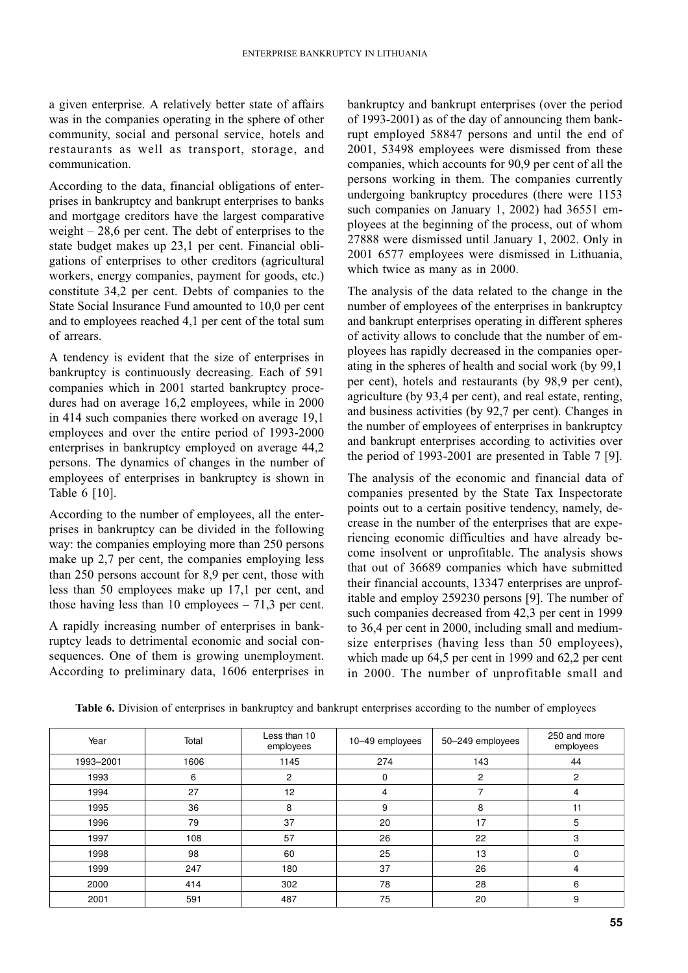a given enterprise. A relatively better state of affairs was in the companies operating in the sphere of other community, social and personal service, hotels and restaurants as well as transport, storage, and communication.

According to the data, financial obligations of enterprises in bankruptcy and bankrupt enterprises to banks and mortgage creditors have the largest comparative weight  $-28.6$  per cent. The debt of enterprises to the state budget makes up 23,1 per cent. Financial obligations of enterprises to other creditors (agricultural workers, energy companies, payment for goods, etc.) constitute 34,2 per cent. Debts of companies to the State Social Insurance Fund amounted to 10,0 per cent and to employees reached 4,1 per cent of the total sum of arrears.

A tendency is evident that the size of enterprises in bankruptcy is continuously decreasing. Each of 591 companies which in 2001 started bankruptcy procedures had on average 16,2 employees, while in 2000 in 414 such companies there worked on average 19,1 employees and over the entire period of 1993-2000 enterprises in bankruptcy employed on average 44,2 persons. The dynamics of changes in the number of employees of enterprises in bankruptcy is shown in Table 6 [10].

According to the number of employees, all the enterprises in bankruptcy can be divided in the following way: the companies employing more than 250 persons make up 2,7 per cent, the companies employing less than 250 persons account for 8,9 per cent, those with less than 50 employees make up 17,1 per cent, and those having less than 10 employees  $-71,3$  per cent.

A rapidly increasing number of enterprises in bankruptcy leads to detrimental economic and social consequences. One of them is growing unemployment. According to preliminary data, 1606 enterprises in bankruptcy and bankrupt enterprises (over the period of 1993-2001) as of the day of announcing them bankrupt employed 58847 persons and until the end of 2001, 53498 employees were dismissed from these companies, which accounts for 90,9 per cent of all the persons working in them. The companies currently undergoing bankruptcy procedures (there were 1153 such companies on January 1, 2002) had 36551 employees at the beginning of the process, out of whom 27888 were dismissed until January 1, 2002. Only in 2001 6577 employees were dismissed in Lithuania, which twice as many as in 2000.

The analysis of the data related to the change in the number of employees of the enterprises in bankruptcy and bankrupt enterprises operating in different spheres of activity allows to conclude that the number of employees has rapidly decreased in the companies operating in the spheres of health and social work (by 99.1) per cent), hotels and restaurants (by 98,9 per cent), agriculture (by 93,4 per cent), and real estate, renting, and business activities (by 92,7 per cent). Changes in the number of employees of enterprises in bankruptcy and bankrupt enterprises according to activities over the period of 1993-2001 are presented in Table 7 [9].

The analysis of the economic and financial data of companies presented by the State Tax Inspectorate points out to a certain positive tendency, namely, decrease in the number of the enterprises that are experiencing economic difficulties and have already become insolvent or unprofitable. The analysis shows that out of 36689 companies which have submitted their financial accounts, 13347 enterprises are unprofitable and employ 259230 persons [9]. The number of such companies decreased from 42,3 per cent in 1999 to 36,4 per cent in 2000, including small and mediumsize enterprises (having less than 50 employees). which made up  $64.5$  per cent in 1999 and  $62.2$  per cent in 2000. The number of unprofitable small and

| Year      | Total | Less than 10<br>employees | 10-49 employees | 50-249 employees | 250 and more<br>employees |
|-----------|-------|---------------------------|-----------------|------------------|---------------------------|
| 1993-2001 | 1606  | 1145                      | 274             | 143              | 44                        |
| 1993      | 6     | 2                         | $\Omega$        | $\overline{2}$   | 2                         |
| 1994      | 27    | 12                        | 4               |                  | 4                         |
| 1995      | 36    | 8                         | 9               | 8                | 11                        |
| 1996      | 79    | 37                        | 20              | 17               | 5                         |
| 1997      | 108   | 57                        | 26              | 22               | 3                         |
| 1998      | 98    | 60                        | 25              | 13               | $\Omega$                  |
| 1999      | 247   | 180                       | 37              | 26               | 4                         |
| 2000      | 414   | 302                       | 78              | 28               | 6                         |
| 2001      | 591   | 487                       | 75              | 20               | 9                         |

Table 6. Division of enterprises in bankruptcy and bankrupt enterprises according to the number of employees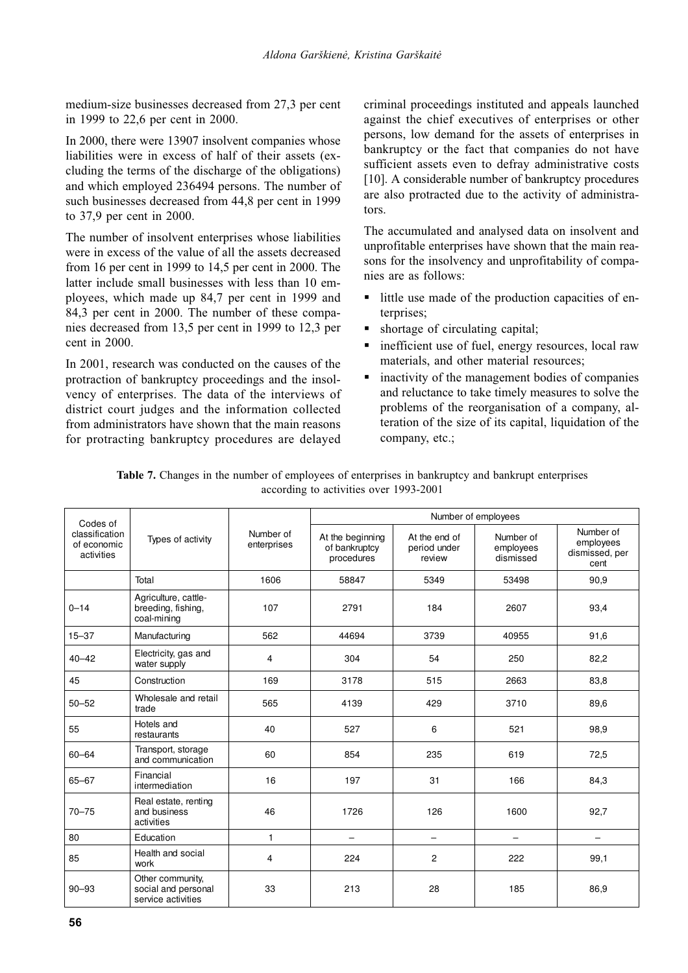medium-size businesses decreased from 27.3 per cent in 1999 to 22,6 per cent in 2000.

In 2000, there were 13907 insolvent companies whose liabilities were in excess of half of their assets (excluding the terms of the discharge of the obligations) and which employed 236494 persons. The number of such businesses decreased from 44,8 per cent in 1999 to 37,9 per cent in 2000.

The number of insolvent enterprises whose liabilities were in excess of the value of all the assets decreased from 16 per cent in 1999 to 14,5 per cent in 2000. The latter include small businesses with less than 10 employees, which made up 84,7 per cent in 1999 and 84,3 per cent in 2000. The number of these companies decreased from 13.5 per cent in 1999 to 12.3 per cent in  $2000$ .

In 2001, research was conducted on the causes of the protraction of bankruptcy proceedings and the insolvency of enterprises. The data of the interviews of district court judges and the information collected from administrators have shown that the main reasons for protracting bankruptcy procedures are delayed

criminal proceedings instituted and appeals launched against the chief executives of enterprises or other persons, low demand for the assets of enterprises in bankruptcy or the fact that companies do not have sufficient assets even to defray administrative costs [10]. A considerable number of bankruptcy procedures are also protracted due to the activity of administrators.

The accumulated and analysed data on insolvent and unprofitable enterprises have shown that the main reasons for the insolvency and unprofitability of companies are as follows:

- little use made of the production capacities of en- $\blacksquare$ terprises;
- shortage of circulating capital;  $\blacksquare$
- inefficient use of fuel, energy resources, local raw  $\blacksquare$ materials, and other material resources:
- inactivity of the management bodies of companies and reluctance to take timely measures to solve the problems of the reorganisation of a company, alteration of the size of its capital, liquidation of the company, etc.;

| Table 7. Changes in the number of employees of enterprises in bankruptcy and bankrupt enterprises |
|---------------------------------------------------------------------------------------------------|
| according to activities over 1993-2001                                                            |

| Codes of                                    | Types of activity                                             |                          | Number of employees                             |                                         |                                     |                                                  |  |  |
|---------------------------------------------|---------------------------------------------------------------|--------------------------|-------------------------------------------------|-----------------------------------------|-------------------------------------|--------------------------------------------------|--|--|
| classification<br>of economic<br>activities |                                                               | Number of<br>enterprises | At the beginning<br>of bankruptcy<br>procedures | At the end of<br>period under<br>review | Number of<br>employees<br>dismissed | Number of<br>employees<br>dismissed, per<br>cent |  |  |
|                                             | Total                                                         | 1606                     | 58847                                           | 5349                                    | 53498                               | 90,9                                             |  |  |
| $0 - 14$                                    | Agriculture, cattle-<br>breeding, fishing,<br>coal-mining     | 107                      | 2791                                            | 184                                     | 2607                                | 93,4                                             |  |  |
| $15 - 37$                                   | Manufacturing                                                 | 562                      | 44694                                           | 3739                                    | 40955                               | 91,6                                             |  |  |
| $40 - 42$                                   | Electricity, gas and<br>water supply                          | 4                        | 304                                             | 54                                      | 250                                 | 82,2                                             |  |  |
| 45                                          | Construction                                                  | 169                      | 3178                                            | 515                                     | 2663                                | 83,8                                             |  |  |
| $50 - 52$                                   | Wholesale and retail<br>trade                                 | 565                      | 4139                                            | 429                                     | 3710                                | 89,6                                             |  |  |
| 55                                          | Hotels and<br>restaurants                                     | 40                       | 527                                             | 6                                       | 521                                 | 98,9                                             |  |  |
| $60 - 64$                                   | Transport, storage<br>and communication                       | 60                       | 854                                             | 235                                     | 619                                 | 72,5                                             |  |  |
| $65 - 67$                                   | Financial<br>intermediation                                   | 16                       | 197                                             | 31                                      | 166                                 | 84,3                                             |  |  |
| $70 - 75$                                   | Real estate, renting<br>and business<br>activities            | 46                       | 1726                                            | 126                                     | 1600                                | 92,7                                             |  |  |
| 80                                          | Education                                                     | $\mathbf{1}$             | $\overline{\phantom{0}}$                        | $\overline{\phantom{0}}$                | $\overline{\phantom{0}}$            | $\overline{\phantom{0}}$                         |  |  |
| 85                                          | Health and social<br>work                                     | 4                        | 224                                             | $\overline{c}$                          | 222                                 | 99,1                                             |  |  |
| $90 - 93$                                   | Other community,<br>social and personal<br>service activities | 33                       | 213                                             | 28                                      | 185                                 | 86,9                                             |  |  |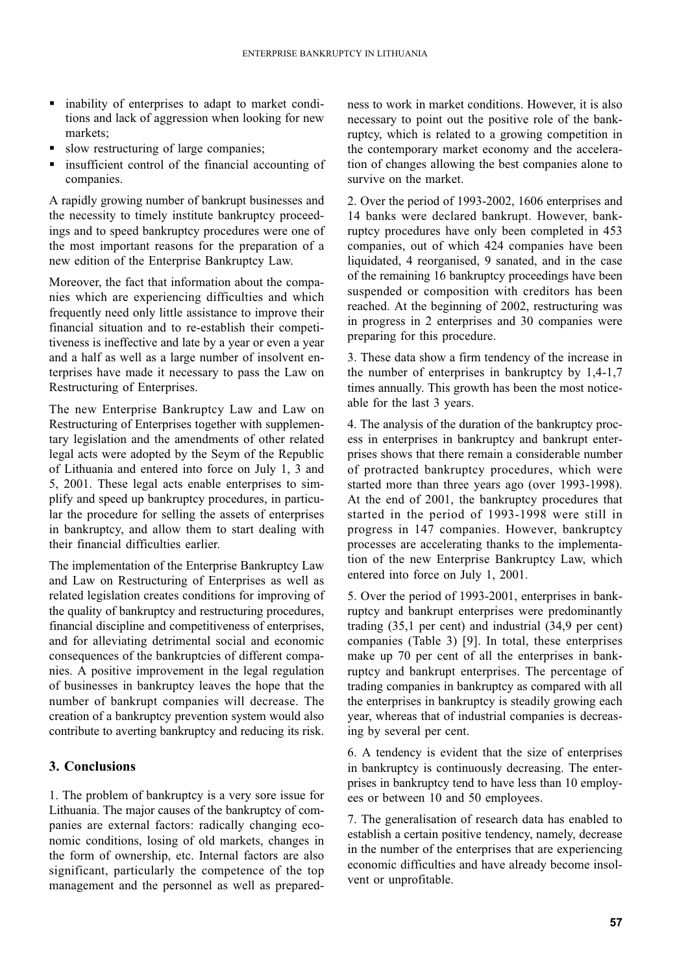- inability of enterprises to adapt to market conditions and lack of aggression when looking for new markets:
- slow restructuring of large companies;
- insufficient control of the financial accounting of  $\blacksquare$ companies.

A rapidly growing number of bankrupt businesses and the necessity to timely institute bankruptcy proceedings and to speed bankruptcy procedures were one of the most important reasons for the preparation of a new edition of the Enterprise Bankruptcy Law.

Moreover, the fact that information about the companies which are experiencing difficulties and which frequently need only little assistance to improve their financial situation and to re-establish their competitiveness is ineffective and late by a year or even a year and a half as well as a large number of insolvent enterprises have made it necessary to pass the Law on Restructuring of Enterprises.

The new Enterprise Bankruptcy Law and Law on Restructuring of Enterprises together with supplementary legislation and the amendments of other related legal acts were adopted by the Seym of the Republic of Lithuania and entered into force on July 1, 3 and 5, 2001. These legal acts enable enterprises to simplify and speed up bankruptcy procedures, in particular the procedure for selling the assets of enterprises in bankruptcy, and allow them to start dealing with their financial difficulties earlier.

The implementation of the Enterprise Bankruptcy Law and Law on Restructuring of Enterprises as well as related legislation creates conditions for improving of the quality of bankruptcy and restructuring procedures, financial discipline and competitiveness of enterprises, and for alleviating detrimental social and economic consequences of the bankruptcies of different companies. A positive improvement in the legal regulation of businesses in bankruptcy leaves the hope that the number of bankrupt companies will decrease. The creation of a bankruptcy prevention system would also contribute to averting bankruptcy and reducing its risk.

# 3. Conclusions

1. The problem of bankruptcy is a very sore issue for Lithuania. The major causes of the bankruptcy of companies are external factors: radically changing economic conditions, losing of old markets, changes in the form of ownership, etc. Internal factors are also significant, particularly the competence of the top management and the personnel as well as preparedness to work in market conditions. However, it is also necessary to point out the positive role of the bankruptcy, which is related to a growing competition in the contemporary market economy and the acceleration of changes allowing the best companies alone to survive on the market.

2. Over the period of 1993-2002, 1606 enterprises and 14 banks were declared bankrupt. However, bankruptcy procedures have only been completed in 453 companies, out of which 424 companies have been liquidated, 4 reorganised, 9 sanated, and in the case of the remaining 16 bankruptcy proceedings have been suspended or composition with creditors has been reached. At the beginning of 2002, restructuring was in progress in 2 enterprises and 30 companies were preparing for this procedure.

3. These data show a firm tendency of the increase in the number of enterprises in bankruptcy by  $1,4-1,7$ times annually. This growth has been the most noticeable for the last 3 years.

4. The analysis of the duration of the bankruptcy process in enterprises in bankruptcy and bankrupt enterprises shows that there remain a considerable number of protracted bankruptcy procedures, which were started more than three years ago (over 1993-1998). At the end of 2001, the bankruptcy procedures that started in the period of 1993-1998 were still in progress in 147 companies. However, bankruptcy processes are accelerating thanks to the implementation of the new Enterprise Bankruptcy Law, which entered into force on July 1, 2001.

5. Over the period of 1993-2001, enterprises in bankruptcy and bankrupt enterprises were predominantly trading  $(35,1)$  per cent) and industrial  $(34,9)$  per cent) companies (Table 3) [9]. In total, these enterprises make up 70 per cent of all the enterprises in bankruptcy and bankrupt enterprises. The percentage of trading companies in bankruptcy as compared with all the enterprises in bankruptcy is steadily growing each year, whereas that of industrial companies is decreasing by several per cent.

6. A tendency is evident that the size of enterprises in bankruptcy is continuously decreasing. The enterprises in bankruptcy tend to have less than 10 employees or between 10 and 50 employees.

7. The generalisation of research data has enabled to establish a certain positive tendency, namely, decrease in the number of the enterprises that are experiencing economic difficulties and have already become insolvent or unprofitable.